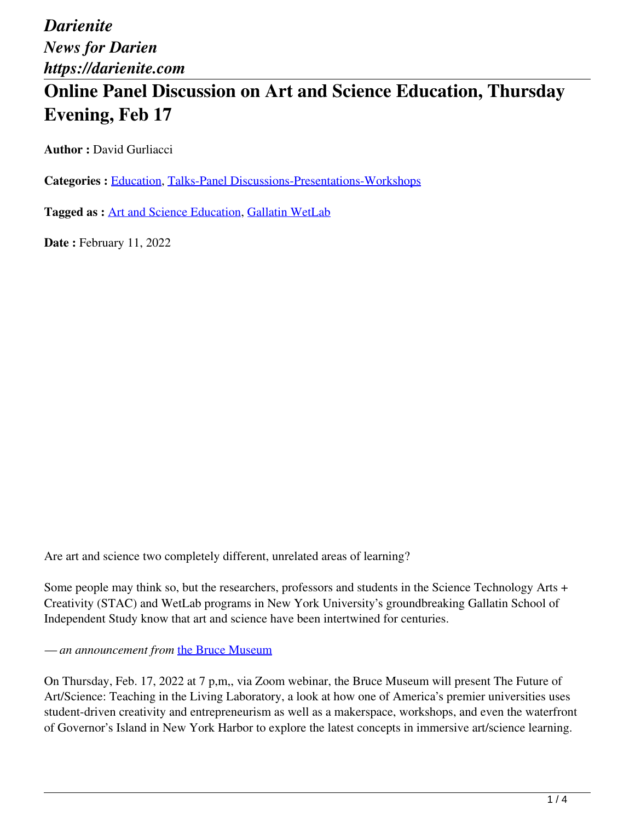# **Online Panel Discussion on Art and Science Education, Thursday Evening, Feb 17**

**Author :** David Gurliacci

**Categories :** [Education,](https://darienite.com/category/news/education) Talks-Panel Discussions-Presentations-Workshops

**Tagged as :** Art and Science Education, Gallatin WetLab

**Date : February 11, 2022** 

Are art and science two completely different, unrelated areas of learning?

Some people may think so, but the researchers, professors and students in the Science Technology Arts + Creativity (STAC) and WetLab programs in New York University's groundbreaking Gallatin School of Independent Study know that art and science have been intertwined for centuries.

*— an announcement from* the Bruce Museum

On Thursday, Feb. 17, 2022 at 7 p,m,, via Zoom webinar, the Bruce Museum will present The Future of Art/Science: Teaching in the Living Laboratory, a look at how one of America's premier universities uses student-driven creativity and entrepreneurism as well as a makerspace, workshops, and even the waterfront of Governor's Island in New York Harbor to explore the latest concepts in immersive art/science learning.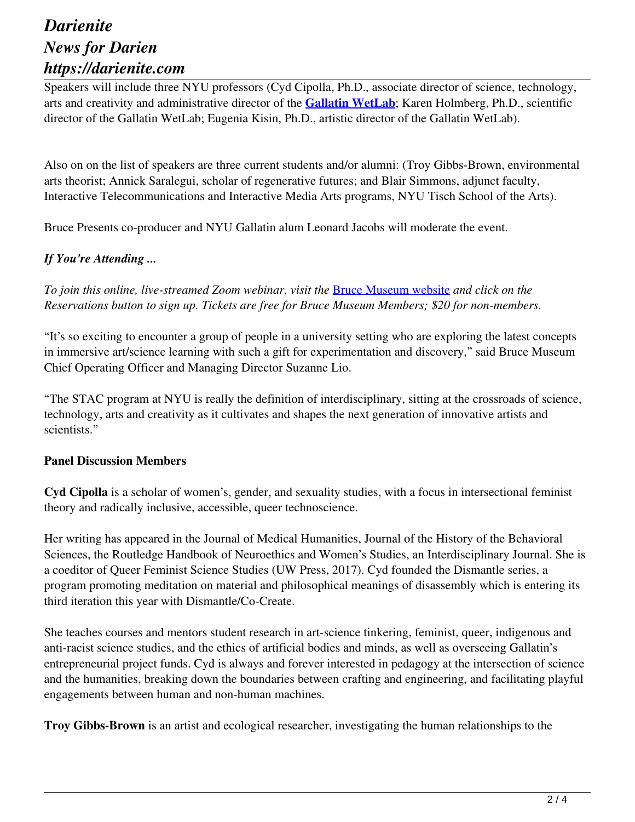Speakers will include three NYU professors (Cyd Cipolla, Ph.D., associate director of science, technology, arts and creativity and administrative director of the **Gallatin WetLab**; Karen Holmberg, Ph.D., scientific director of the Gallatin WetLab; Eugenia Kisin, Ph.D., artistic director of the Gallatin WetLab).

Also on on the list of speakers are three current students and/or alumni: (Troy Gibbs-Brown, environmental arts theorist; Annick Saralegui, scholar of regenerative futures; and Blair Simmons, adjunct faculty, Interactive Telecommunications and Interactive Media Arts programs, NYU Tisch School of the Arts).

Bruce Presents co-producer and NYU Gallatin alum Leonard Jacobs will moderate the event.

### *If You're Attending ...*

*To join this online, live-streamed Zoom webinar, visit the* Bruce Museum website *and click on the Reservations button to sign up. Tickets are free for Bruce Museum Members; \$20 for non-members.*

"It's so exciting to encounter a group of people in a university setting who are exploring the latest concepts in immersive art/science learning with such a gift for experimentation and discovery," said Bruce Museum Chief Operating Officer and Managing Director Suzanne Lio.

"The STAC program at NYU is really the definition of interdisciplinary, sitting at the crossroads of science, technology, arts and creativity as it cultivates and shapes the next generation of innovative artists and scientists."

#### **Panel Discussion Members**

**Cyd Cipolla** is a scholar of women's, gender, and sexuality studies, with a focus in intersectional feminist theory and radically inclusive, accessible, queer technoscience.

Her writing has appeared in the Journal of Medical Humanities, Journal of the History of the Behavioral Sciences, the Routledge Handbook of Neuroethics and Women's Studies, an Interdisciplinary Journal. She is a coeditor of Queer Feminist Science Studies (UW Press, 2017). Cyd founded the Dismantle series, a program promoting meditation on material and philosophical meanings of disassembly which is entering its third iteration this year with Dismantle/Co-Create.

She teaches courses and mentors student research in art-science tinkering, feminist, queer, indigenous and anti-racist science studies, and the ethics of artificial bodies and minds, as well as overseeing Gallatin's entrepreneurial project funds. Cyd is always and forever interested in pedagogy at the intersection of science and the humanities, breaking down the boundaries between crafting and engineering, and facilitating playful engagements between human and non-human machines.

**Troy Gibbs-Brown** is an artist and ecological researcher, investigating the human relationships to the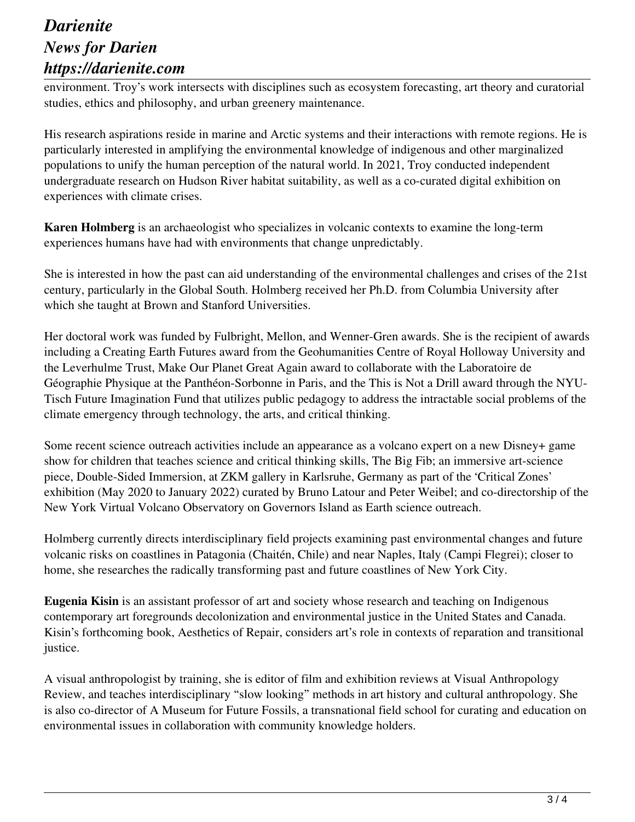environment. Troy's work intersects with disciplines such as ecosystem forecasting, art theory and curatorial studies, ethics and philosophy, and urban greenery maintenance.

His research aspirations reside in marine and Arctic systems and their interactions with remote regions. He is particularly interested in amplifying the environmental knowledge of indigenous and other marginalized populations to unify the human perception of the natural world. In 2021, Troy conducted independent undergraduate research on Hudson River habitat suitability, as well as a co-curated digital exhibition on experiences with climate crises.

**Karen Holmberg** is an archaeologist who specializes in volcanic contexts to examine the long-term experiences humans have had with environments that change unpredictably.

She is interested in how the past can aid understanding of the environmental challenges and crises of the 21st century, particularly in the Global South. Holmberg received her Ph.D. from Columbia University after which she taught at Brown and Stanford Universities.

Her doctoral work was funded by Fulbright, Mellon, and Wenner-Gren awards. She is the recipient of awards including a Creating Earth Futures award from the Geohumanities Centre of Royal Holloway University and the Leverhulme Trust, Make Our Planet Great Again award to collaborate with the Laboratoire de Géographie Physique at the Panthéon-Sorbonne in Paris, and the This is Not a Drill award through the NYU-Tisch Future Imagination Fund that utilizes public pedagogy to address the intractable social problems of the climate emergency through technology, the arts, and critical thinking.

Some recent science outreach activities include an appearance as a volcano expert on a new Disney+ game show for children that teaches science and critical thinking skills, The Big Fib; an immersive art-science piece, Double-Sided Immersion, at ZKM gallery in Karlsruhe, Germany as part of the 'Critical Zones' exhibition (May 2020 to January 2022) curated by Bruno Latour and Peter Weibel; and co-directorship of the New York Virtual Volcano Observatory on Governors Island as Earth science outreach.

Holmberg currently directs interdisciplinary field projects examining past environmental changes and future volcanic risks on coastlines in Patagonia (Chaitén, Chile) and near Naples, Italy (Campi Flegrei); closer to home, she researches the radically transforming past and future coastlines of New York City.

**Eugenia Kisin** is an assistant professor of art and society whose research and teaching on Indigenous contemporary art foregrounds decolonization and environmental justice in the United States and Canada. Kisin's forthcoming book, Aesthetics of Repair, considers art's role in contexts of reparation and transitional justice.

A visual anthropologist by training, she is editor of film and exhibition reviews at Visual Anthropology Review, and teaches interdisciplinary "slow looking" methods in art history and cultural anthropology. She is also co-director of A Museum for Future Fossils, a transnational field school for curating and education on environmental issues in collaboration with community knowledge holders.